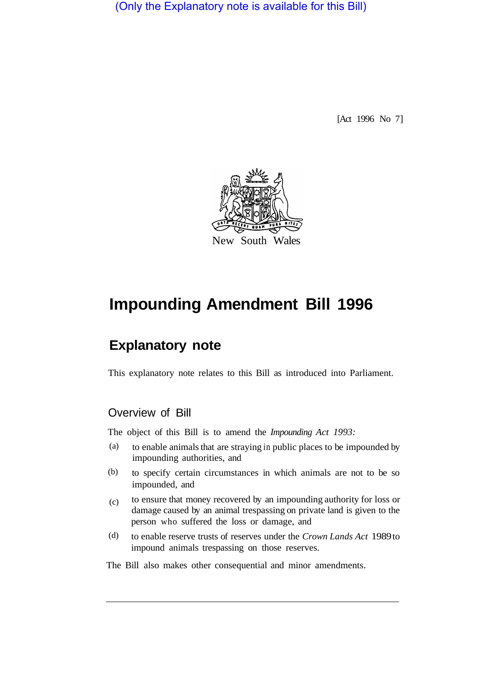(Only the Explanatory note is available for this Bill)

[Act 1996 No 7]



# **Impounding Amendment Bill 1996**

# **Explanatory note**

This explanatory note relates to this Bill as introduced into Parliament.

# Overview of Bill

The object of this Bill is to amend the *Impounding Act 1993:* 

- to enable animals that are straying in public places to be impounded by impounding authorities, and (a)
- to specify certain circumstances in which animals are not to be so impounded, and (b)
- to ensure that money recovered by an impounding authority for loss or damage caused by an animal trespassing on private land is given to the person who suffered the loss or damage, and  $(c)$
- to enable reserve trusts of reserves under the *Crown Lands Act* 1989 to impound animals trespassing on those reserves. (d)

The Bill also makes other consequential and minor amendments.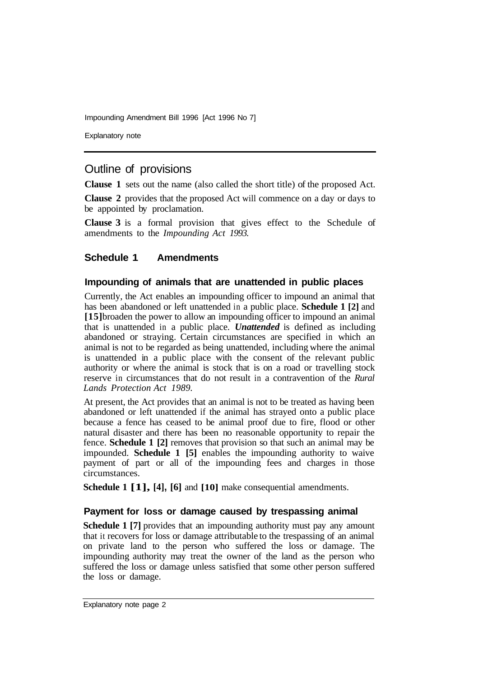Impounding Amendment Bill 1996 [Act 1996 No 7]

Explanatory note

# Outline of provisions

**Clause 1** sets out the name (also called the short title) of the proposed Act.

**Clause 2** provides that the proposed Act will commence on a day or days to be appointed by proclamation.

**Clause 3** is a formal provision that gives effect to the Schedule of amendments to the *Impounding Act 1993.* 

### **Schedule 1 Amendments**

#### **Impounding of animals that are unattended in public places**

Currently, the Act enables an impounding officer to impound an animal that has been abandoned or left unattended in a public place. **Schedule 1 [2]** and **[15]** broaden the power to allow an impounding officer to impound an animal that is unattended in a public place. *Unattended* is defined as including abandoned or straying. Certain circumstances are specified in which an animal is not to be regarded as being unattended, including where the animal is unattended in a public place with the consent of the relevant public authority or where the animal is stock that is on a road or travelling stock reserve in circumstances that do not result in a contravention of the *Rural Lands Protection Act 1989.* 

At present, the Act provides that an animal is not to be treated as having been abandoned or left unattended if the animal has strayed onto a public place because a fence has ceased to be animal proof due to fire, flood or other natural disaster and there has been no reasonable opportunity to repair the fence. **Schedule 1 [2]** removes that provision so that such an animal may be impounded. **Schedule 1 [5]** enables the impounding authority to waive payment of part or all of the impounding fees and charges in those circumstances.

**Schedule 1 [1], [4], [6]** and **[10]** make consequential amendments.

#### **Payment for loss or damage caused by trespassing animal**

**Schedule 1 [7]** provides that an impounding authority must pay any amount that it recovers for loss or damage attributable to the trespassing of an animal on private land to the person who suffered the loss or damage. The impounding authority may treat the owner of the land as the person who suffered the loss or damage unless satisfied that some other person suffered the loss or damage.